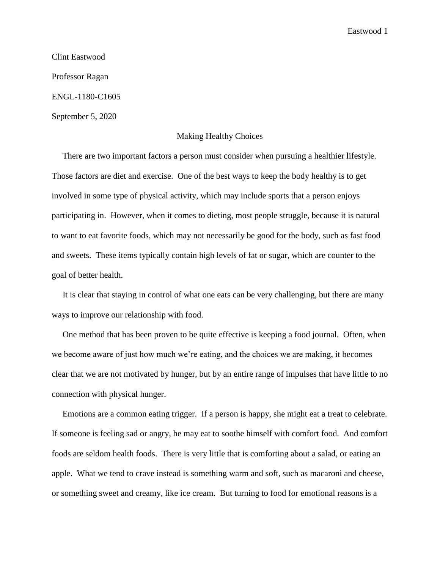Eastwood 1

Clint Eastwood Professor Ragan ENGL-1180-C1605 September 5, 2020

## Making Healthy Choices

 There are two important factors a person must consider when pursuing a healthier lifestyle. Those factors are diet and exercise. One of the best ways to keep the body healthy is to get involved in some type of physical activity, which may include sports that a person enjoys participating in. However, when it comes to dieting, most people struggle, because it is natural to want to eat favorite foods, which may not necessarily be good for the body, such as fast food and sweets. These items typically contain high levels of fat or sugar, which are counter to the goal of better health.

 It is clear that staying in control of what one eats can be very challenging, but there are many ways to improve our relationship with food.

 One method that has been proven to be quite effective is keeping a food journal. Often, when we become aware of just how much we're eating, and the choices we are making, it becomes clear that we are not motivated by hunger, but by an entire range of impulses that have little to no connection with physical hunger.

 Emotions are a common eating trigger. If a person is happy, she might eat a treat to celebrate. If someone is feeling sad or angry, he may eat to soothe himself with comfort food. And comfort foods are seldom health foods. There is very little that is comforting about a salad, or eating an apple. What we tend to crave instead is something warm and soft, such as macaroni and cheese, or something sweet and creamy, like ice cream. But turning to food for emotional reasons is a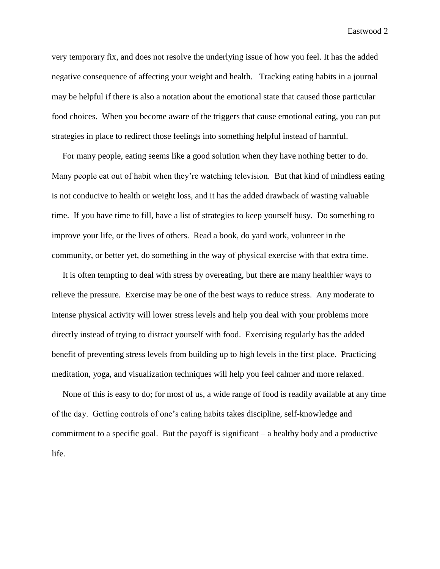Eastwood 2

very temporary fix, and does not resolve the underlying issue of how you feel. It has the added negative consequence of affecting your weight and health. Tracking eating habits in a journal may be helpful if there is also a notation about the emotional state that caused those particular food choices. When you become aware of the triggers that cause emotional eating, you can put strategies in place to redirect those feelings into something helpful instead of harmful.

 For many people, eating seems like a good solution when they have nothing better to do. Many people eat out of habit when they're watching television. But that kind of mindless eating is not conducive to health or weight loss, and it has the added drawback of wasting valuable time. If you have time to fill, have a list of strategies to keep yourself busy. Do something to improve your life, or the lives of others. Read a book, do yard work, volunteer in the community, or better yet, do something in the way of physical exercise with that extra time.

 It is often tempting to deal with stress by overeating, but there are many healthier ways to relieve the pressure. Exercise may be one of the best ways to reduce stress. Any moderate to intense physical activity will lower stress levels and help you deal with your problems more directly instead of trying to distract yourself with food. Exercising regularly has the added benefit of preventing stress levels from building up to high levels in the first place. Practicing meditation, yoga, and visualization techniques will help you feel calmer and more relaxed.

 None of this is easy to do; for most of us, a wide range of food is readily available at any time of the day. Getting controls of one's eating habits takes discipline, self-knowledge and commitment to a specific goal. But the payoff is significant – a healthy body and a productive life.